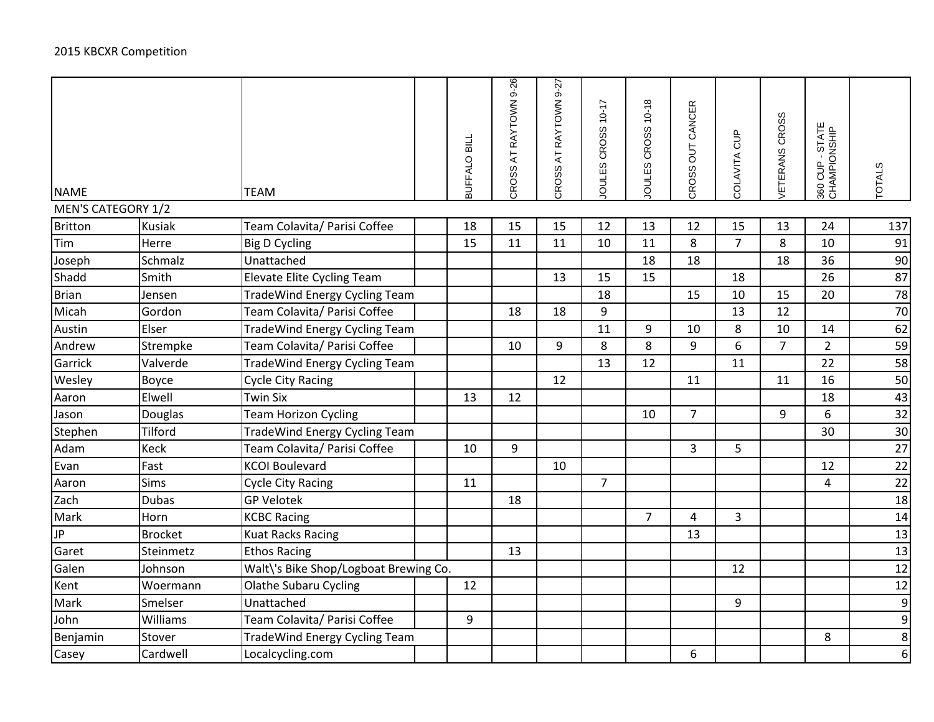| <b>NAME</b>        |                | <b>TEAM</b>                           | BUFFALO BILL | CROSS AT RAYTOWN 9-26 | CROSS AT RAYTOWN 9-27 | JOULES CROSS 10-17 | JOULES CROSS 10-18 | CROSS OUT CANCER | COLAVITA CUP   | ETERANS CROSS  | 360 CUP - STATE<br>CHAMPIONSHIP | <b>TOTALS</b> |
|--------------------|----------------|---------------------------------------|--------------|-----------------------|-----------------------|--------------------|--------------------|------------------|----------------|----------------|---------------------------------|---------------|
| MEN'S CATEGORY 1/2 |                |                                       |              |                       |                       |                    |                    |                  |                |                |                                 |               |
| Britton            | <b>Kusiak</b>  | Team Colavita/ Parisi Coffee          | 18           | 15                    | 15                    | 12                 | 13                 | 12               | 15             | 13             | 24                              | 137           |
| Tim                | Herre          | <b>Big D Cycling</b>                  | 15           | 11                    | 11                    | 10                 | 11                 | 8                | $\overline{7}$ | 8              | 10                              | 91            |
| Joseph             | Schmalz        | Unattached                            |              |                       |                       |                    | 18                 | 18               |                | 18             | 36                              | 90            |
| Shadd              | Smith          | <b>Elevate Elite Cycling Team</b>     |              |                       | 13                    | 15                 | 15                 |                  | 18             |                | 26                              | 87            |
| Brian              | Jensen         | <b>TradeWind Energy Cycling Team</b>  |              |                       |                       | 18                 |                    | 15               | 10             | 15             | 20                              | 78            |
| Micah              | Gordon         | Team Colavita/ Parisi Coffee          |              | 18                    | 18                    | 9                  |                    |                  | 13             | 12             |                                 | 70            |
| Austin             | Elser          | <b>TradeWind Energy Cycling Team</b>  |              |                       |                       | 11                 | 9                  | 10               | 8              | 10             | 14                              | 62            |
| Andrew             | Strempke       | Team Colavita/ Parisi Coffee          |              | 10                    | 9                     | 8                  | 8                  | 9                | 6              | $\overline{7}$ | $\overline{2}$                  | 59            |
| Garrick            | Valverde       | <b>TradeWind Energy Cycling Team</b>  |              |                       |                       | 13                 | 12                 |                  | 11             |                | 22                              | 58            |
| Wesley             | Boyce          | <b>Cycle City Racing</b>              |              |                       | 12                    |                    |                    | 11               |                | 11             | 16                              | 50            |
| Aaron              | Elwell         | <b>Twin Six</b>                       | 13           | 12                    |                       |                    |                    |                  |                |                | 18                              | 43            |
| Jason              | Douglas        | <b>Team Horizon Cycling</b>           |              |                       |                       |                    | 10                 | $\overline{7}$   |                | 9              | 6                               | 32            |
| Stephen            | Tilford        | <b>TradeWind Energy Cycling Team</b>  |              |                       |                       |                    |                    |                  |                |                | 30                              | 30            |
| Adam               | Keck           | Team Colavita/ Parisi Coffee          | 10           | $\boldsymbol{9}$      |                       |                    |                    | $\overline{3}$   | 5              |                |                                 | 27            |
| Evan               | Fast           | <b>KCOI Boulevard</b>                 |              |                       | 10                    |                    |                    |                  |                |                | 12                              | 22            |
| Aaron              | Sims           | <b>Cycle City Racing</b>              | 11           |                       |                       | $\overline{7}$     |                    |                  |                |                | 4                               | 22            |
| Zach               | <b>Dubas</b>   | <b>GP Velotek</b>                     |              | 18                    |                       |                    |                    |                  |                |                |                                 | 18            |
| Mark               | Horn           | <b>KCBC Racing</b>                    |              |                       |                       |                    | $\overline{7}$     | 4                | 3              |                |                                 | 14            |
| $\sqrt{P}$         | <b>Brocket</b> | <b>Kuat Racks Racing</b>              |              |                       |                       |                    |                    | 13               |                |                |                                 | 13            |
| Garet              | Steinmetz      | <b>Ethos Racing</b>                   |              | 13                    |                       |                    |                    |                  |                |                |                                 | 13            |
| Galen              | Johnson        | Walt\'s Bike Shop/Logboat Brewing Co. |              |                       |                       |                    |                    |                  | 12             |                |                                 | 12            |
| Kent               | Woermann       | <b>Olathe Subaru Cycling</b>          | 12           |                       |                       |                    |                    |                  |                |                |                                 | 12            |
| Mark               | Smelser        | Unattached                            |              |                       |                       |                    |                    |                  | 9              |                |                                 | 9             |
| John               | Williams       | Team Colavita/ Parisi Coffee          | 9            |                       |                       |                    |                    |                  |                |                |                                 | 9             |
| Benjamin           | Stover         | <b>TradeWind Energy Cycling Team</b>  |              |                       |                       |                    |                    |                  |                |                | 8                               | 8             |
| Casey              | Cardwell       | Localcycling.com                      |              |                       |                       |                    |                    | 6                |                |                |                                 | 6             |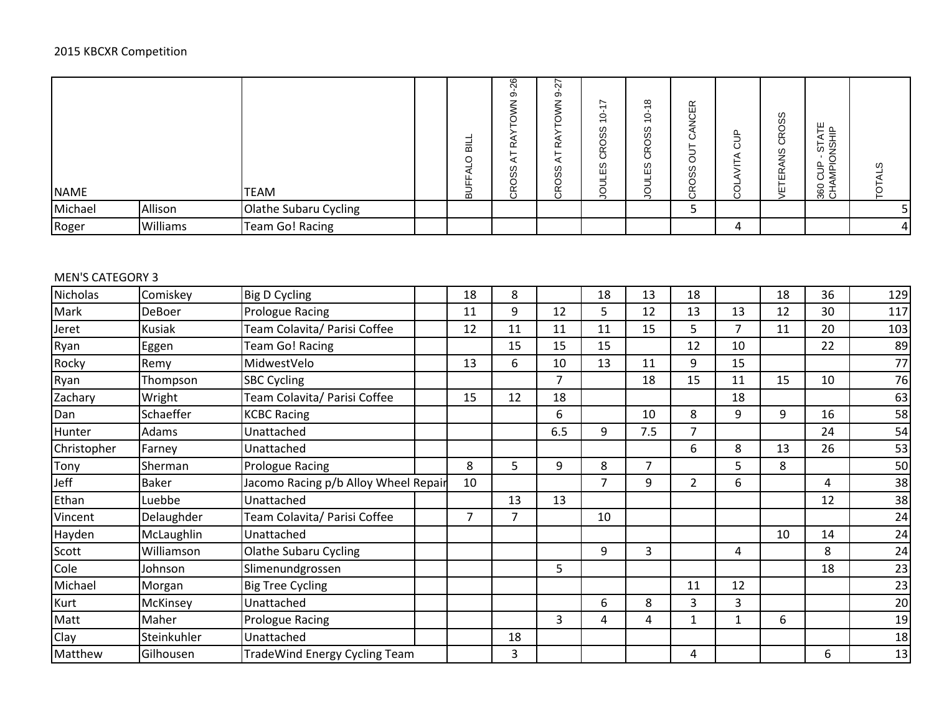| <b>NAME</b> |          | <b>TEAM</b>           | 声<br>$\cap$<br>◅<br>흾 | 26<br>တ<br>œ<br>굯<br>SS<br>ğ<br>$\circ$ | r.<br>Ń<br>တ<br>⇁<br>≃<br>호<br>w<br>Ò.<br>O<br>Ť | ∼<br>0<br>$\overline{ }$<br>w<br>ഗ<br>O<br>œ<br>ပ<br>w<br>ш<br>∽<br>₫ | $\infty$<br>$\circ$<br>$\overline{\phantom{0}}$<br>ၯ<br>ω<br>∝<br>$\circ$<br>w<br>ш<br>0<br>- | $\alpha$<br>ш<br>٧<br>╯<br>ィ<br>–<br>O<br>w<br>Ø<br>O<br>Ğ | 뜨<br>Ō | 89<br>∝<br>$\circ$<br>ၯ<br>–<br>띥<br>ш | ш<br>읔<br>⊢.<br>CUP-STA<br>MPIONSH<br>ີ<br>유 오<br>양 | w |
|-------------|----------|-----------------------|-----------------------|-----------------------------------------|--------------------------------------------------|-----------------------------------------------------------------------|-----------------------------------------------------------------------------------------------|------------------------------------------------------------|--------|----------------------------------------|-----------------------------------------------------|---|
| Michael     | Allison  | Olathe Subaru Cycling |                       |                                         |                                                  |                                                                       |                                                                                               |                                                            |        |                                        |                                                     |   |
| Roger       | Williams | Team Go! Racing       |                       |                                         |                                                  |                                                                       |                                                                                               |                                                            | 4      |                                        |                                                     | 4 |

### MEN'S CATEGORY 3

| Nicholas    | Comiskey      | <b>Big D Cycling</b>                 | 18             | 8              |                | 18 | 13             | 18             |                | 18 | 36 | 129 |
|-------------|---------------|--------------------------------------|----------------|----------------|----------------|----|----------------|----------------|----------------|----|----|-----|
| Mark        | <b>DeBoer</b> | <b>Prologue Racing</b>               | 11             | 9              | 12             | 5  | 12             | 13             | 13             | 12 | 30 | 117 |
| Jeret       | <b>Kusiak</b> | Team Colavita/ Parisi Coffee         | 12             | 11             | 11             | 11 | 15             | 5              | 7              | 11 | 20 | 103 |
| Ryan        | Eggen         | Team Go! Racing                      |                | 15             | 15             | 15 |                | 12             | 10             |    | 22 | 89  |
| Rocky       | Remy          | MidwestVelo                          | 13             | 6              | 10             | 13 | 11             | 9              | 15             |    |    | 77  |
| Ryan        | Thompson      | <b>SBC Cycling</b>                   |                |                | $\overline{7}$ |    | 18             | 15             | 11             | 15 | 10 | 76  |
| Zachary     | Wright        | Team Colavita/ Parisi Coffee         | 15             | 12             | 18             |    |                |                | 18             |    |    | 63  |
| Dan         | Schaeffer     | <b>KCBC Racing</b>                   |                |                | 6              |    | 10             | 8              | 9              | 9  | 16 | 58  |
| Hunter      | Adams         | Unattached                           |                |                | 6.5            | 9  | 7.5            | $\overline{7}$ |                |    | 24 | 54  |
| Christopher | Farney        | Unattached                           |                |                |                |    |                | 6              | 8              | 13 | 26 | 53  |
| Tony        | Sherman       | <b>Prologue Racing</b>               | 8              | 5              | 9              | 8  | $\overline{7}$ |                | 5 <sup>1</sup> | 8  |    | 50  |
| Jeff        | Baker         | Jacomo Racing p/b Alloy Wheel Repair | 10             |                |                | 7  | 9              | 2 <sup>1</sup> | 6              |    | 4  | 38  |
| Ethan       | Luebbe        | Unattached                           |                | 13             | 13             |    |                |                |                |    | 12 | 38  |
| Vincent     | Delaughder    | Team Colavita/ Parisi Coffee         | $\overline{7}$ | $\overline{7}$ |                | 10 |                |                |                |    |    | 24  |
| Hayden      | McLaughlin    | Unattached                           |                |                |                |    |                |                |                | 10 | 14 | 24  |
| Scott       | Williamson    | <b>Olathe Subaru Cycling</b>         |                |                |                | 9  | 3              |                | 4              |    | 8  | 24  |
| Cole        | Johnson       | Slimenundgrossen                     |                |                | 5              |    |                |                |                |    | 18 | 23  |
| Michael     | Morgan        | <b>Big Tree Cycling</b>              |                |                |                |    |                | 11             | 12             |    |    | 23  |
| Kurt        | McKinsey      | Unattached                           |                |                |                | 6  | 8              | 3              | 3              |    |    | 20  |
| Matt        | Maher         | Prologue Racing                      |                |                | 3              | 4  | 4              | $\mathbf{1}$   | $\mathbf{1}$   | 6  |    | 19  |
| Clay        | Steinkuhler   | Unattached                           |                | 18             |                |    |                |                |                |    |    | 18  |
| Matthew     | Gilhousen     | <b>TradeWind Energy Cycling Team</b> |                | 3              |                |    |                | 4              |                |    | 6  | 13  |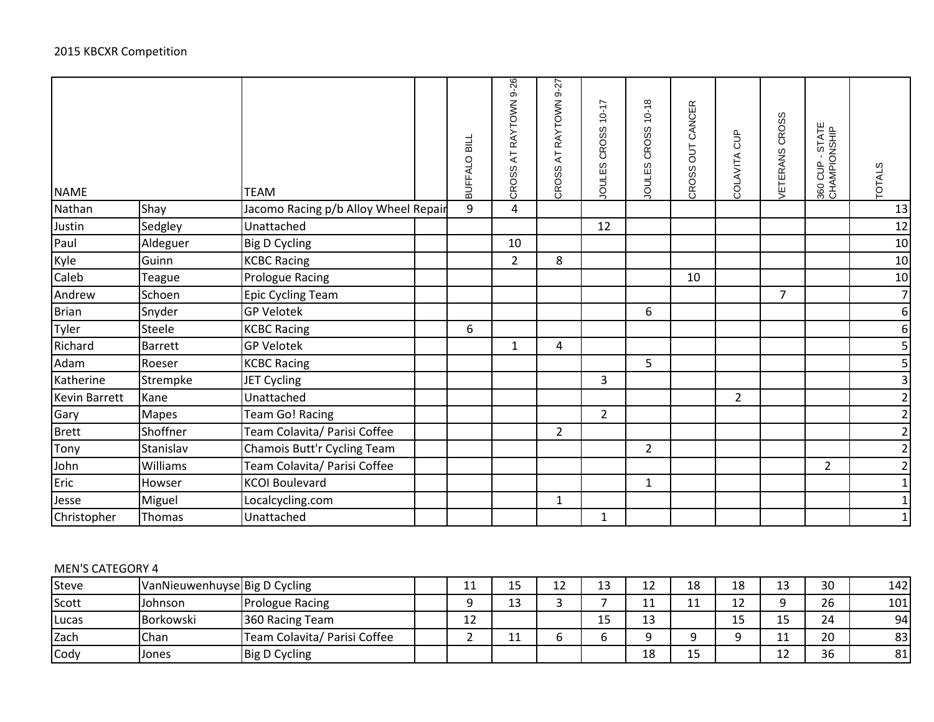| <b>NAME</b>   |                | <b>TEAM</b>                          | BUFFALO BILL | RAYTOWN 9-26<br>$\overline{A}$<br>CROSS | AT RAYTOWN 9-27<br><b>CROSS</b> | CROSS 10-17<br><b>JOULES</b> | $10 - 18$<br>CROSS<br>JOULES | <b>OUT CANCER</b><br>CROSS | COLAVITA CUP   | VETERANS CROSS | 360 CUP - STATE<br>CHAMPIONSHIP | <b>TOTALS</b>           |
|---------------|----------------|--------------------------------------|--------------|-----------------------------------------|---------------------------------|------------------------------|------------------------------|----------------------------|----------------|----------------|---------------------------------|-------------------------|
| Nathan        | Shay           | Jacomo Racing p/b Alloy Wheel Repair | 9            | 4                                       |                                 |                              |                              |                            |                |                |                                 | 13                      |
| Justin        | Sedgley        | Unattached                           |              |                                         |                                 | 12                           |                              |                            |                |                |                                 | 12                      |
| Paul          | Aldeguer       | <b>Big D Cycling</b>                 |              | 10                                      |                                 |                              |                              |                            |                |                |                                 | $10\,$                  |
| Kyle          | Guinn          | <b>KCBC Racing</b>                   |              | $\overline{2}$                          | 8                               |                              |                              |                            |                |                |                                 | 10                      |
| Caleb         | <b>Teague</b>  | <b>Prologue Racing</b>               |              |                                         |                                 |                              |                              | 10                         |                |                |                                 | 10                      |
| Andrew        | Schoen         | Epic Cycling Team                    |              |                                         |                                 |                              |                              |                            |                | $\overline{7}$ |                                 | $\overline{7}$          |
| <b>Brian</b>  | Snyder         | <b>GP Velotek</b>                    |              |                                         |                                 |                              | 6                            |                            |                |                |                                 | $\boldsymbol{6}$        |
| Tyler         | Steele         | <b>KCBC Racing</b>                   | 6            |                                         |                                 |                              |                              |                            |                |                |                                 | $\boldsymbol{6}$        |
| Richard       | <b>Barrett</b> | <b>GP Velotek</b>                    |              | $\mathbf{1}$                            | 4                               |                              |                              |                            |                |                |                                 | 5                       |
| Adam          | Roeser         | <b>KCBC Racing</b>                   |              |                                         |                                 |                              | 5                            |                            |                |                |                                 | 5                       |
| Katherine     | Strempke       | JET Cycling                          |              |                                         |                                 | 3                            |                              |                            |                |                |                                 | $\overline{\mathbf{3}}$ |
| Kevin Barrett | Kane           | Unattached                           |              |                                         |                                 |                              |                              |                            | $\overline{2}$ |                |                                 | $\overline{2}$          |
| Gary          | <b>Mapes</b>   | <b>Team Go! Racing</b>               |              |                                         |                                 | $\overline{2}$               |                              |                            |                |                |                                 | $\mathbf{2}$            |
| Brett         | Shoffner       | Team Colavita/ Parisi Coffee         |              |                                         | $\overline{2}$                  |                              |                              |                            |                |                |                                 | $\overline{2}$          |
| Tony          | Stanislav      | Chamois Butt'r Cycling Team          |              |                                         |                                 |                              | $\overline{2}$               |                            |                |                |                                 | $\mathbf{2}$            |
| John          | Williams       | Team Colavita/ Parisi Coffee         |              |                                         |                                 |                              |                              |                            |                |                | $\overline{2}$                  | $\mathbf 2$             |
| Eric          | Howser         | <b>KCOI Boulevard</b>                |              |                                         |                                 |                              | $\mathbf{1}$                 |                            |                |                |                                 | $\mathbf{1}$            |
| Jesse         | Miguel         | Localcycling.com                     |              |                                         | $\mathbf{1}$                    |                              |                              |                            |                |                |                                 | $\mathbf 1$             |
| Christopher   | Thomas         | Unattached                           |              |                                         |                                 | $\mathbf{1}$                 |                              |                            |                |                |                                 | $\mathbf{1}$            |

#### MEN'S CATEGORY 4

| Steve         | VanNieuwenhuyse Big D Cycling |                              | . . | $\sim$ $\sim$<br>⊥ఎ | 1つ<br>ΤT                 | 12<br>⊥⊃             | 12<br>∸∸ | 10<br>TΟ            | 18                             | 1 J<br>∸ | 30 | 142 |
|---------------|-------------------------------|------------------------------|-----|---------------------|--------------------------|----------------------|----------|---------------------|--------------------------------|----------|----|-----|
| Scott         | Johnson                       | <b>Prologue Racing</b>       |     | 12<br>ᅩJ            | $\overline{\phantom{0}}$ |                      | .        |                     | 1 J<br>∸∸                      |          | 26 | 101 |
| <b>ILucas</b> | Borkowski                     | 360 Racing Team              | 12  |                     |                          | $\overline{ }$<br>IJ | 13       |                     | $\overline{\phantom{0}}$<br>∸~ | ∸        | 24 | 94  |
| Zach          | <b>Chan</b>                   | Team Colavita/ Parisi Coffee |     | . .                 |                          |                      |          |                     |                                | . .      | 20 | 83  |
| Cody          | Jones                         | Big D Cycling                |     |                     |                          |                      | 18       | $\sim$ $\sim$<br>IJ |                                | ∸        | 36 | 81  |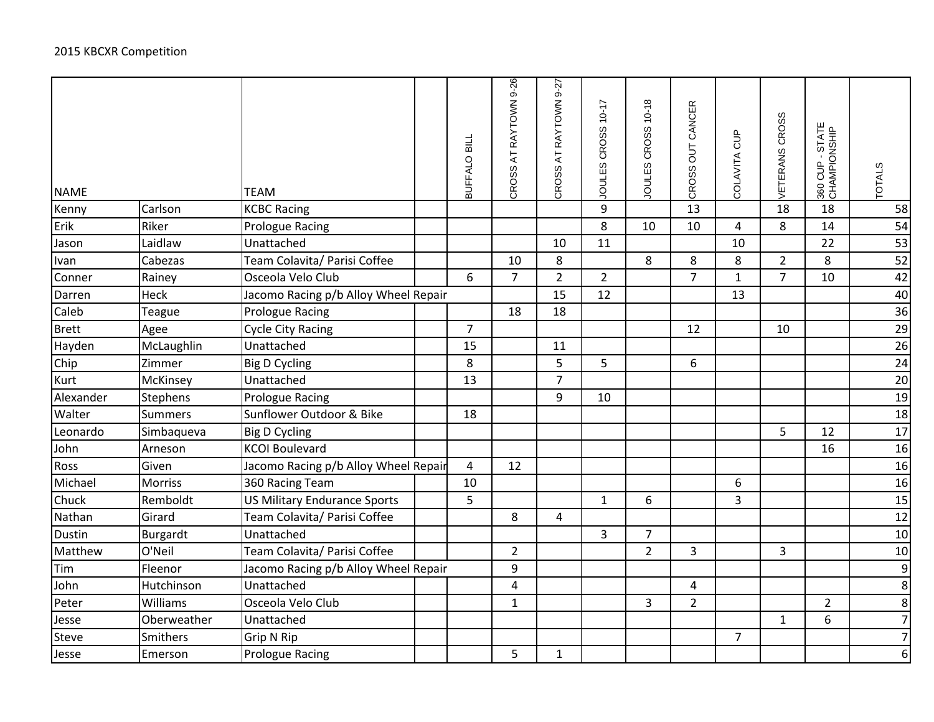| <b>NAME</b>   |                 | <b>TEAM</b>                          | BUFFALO BILL   | CROSS AT RAYTOWN 9-26 | CROSS AT RAYTOWN 9-27   | JOULES CROSS 10-17 | JOULES CROSS 10-18 | CROSS OUT CANCER | COLAVITA CUP   | VETERANS CROSS | 360 CUP - STATE<br>CHAMPIONSHIP | <b>TOTALS</b>  |
|---------------|-----------------|--------------------------------------|----------------|-----------------------|-------------------------|--------------------|--------------------|------------------|----------------|----------------|---------------------------------|----------------|
| Kenny         | Carlson         | <b>KCBC Racing</b>                   |                |                       |                         | 9                  |                    | 13               |                | 18             | 18                              | 58             |
| Erik          | Riker           | Prologue Racing                      |                |                       |                         | 8                  | 10                 | 10               | 4              | 8              | 14                              | 54             |
| Jason         | Laidlaw         | Unattached                           |                |                       | 10                      | 11                 |                    |                  | 10             |                | 22                              | 53             |
| Ivan          | Cabezas         | Team Colavita/ Parisi Coffee         |                | 10                    | 8                       |                    | 8                  | 8                | 8              | $\overline{2}$ | 8                               | 52             |
| Conner        | Rainey          | Osceola Velo Club                    | 6              | $\overline{7}$        | $\overline{2}$          | $\overline{2}$     |                    | $\overline{7}$   | $1\,$          | $\overline{7}$ | 10                              | 42             |
| Darren        | Heck            | Jacomo Racing p/b Alloy Wheel Repair |                |                       | 15                      | 12                 |                    |                  | 13             |                |                                 | 40             |
| Caleb         | Teague          | Prologue Racing                      |                | 18                    | 18                      |                    |                    |                  |                |                |                                 | 36             |
| <b>Brett</b>  | Agee            | <b>Cycle City Racing</b>             | $\overline{7}$ |                       |                         |                    |                    | 12               |                | 10             |                                 | 29             |
| Hayden        | McLaughlin      | Unattached                           | 15             |                       | 11                      |                    |                    |                  |                |                |                                 | 26             |
| Chip          | Zimmer          | <b>Big D Cycling</b>                 | 8              |                       | 5                       | 5                  |                    | 6                |                |                |                                 | 24             |
| Kurt          | McKinsey        | Unattached                           | 13             |                       | $\overline{7}$          |                    |                    |                  |                |                |                                 | 20             |
| Alexander     | <b>Stephens</b> | <b>Prologue Racing</b>               |                |                       | 9                       | 10                 |                    |                  |                |                |                                 | 19             |
| Walter        | <b>Summers</b>  | Sunflower Outdoor & Bike             | 18             |                       |                         |                    |                    |                  |                |                |                                 | 18             |
| Leonardo      | Simbaqueva      | <b>Big D Cycling</b>                 |                |                       |                         |                    |                    |                  |                | 5              | 12                              | 17             |
| John          | Arneson         | <b>KCOI Boulevard</b>                |                |                       |                         |                    |                    |                  |                |                | 16                              | 16             |
| Ross          | Given           | Jacomo Racing p/b Alloy Wheel Repair | 4              | 12                    |                         |                    |                    |                  |                |                |                                 | 16             |
| Michael       | Morriss         | 360 Racing Team                      | 10             |                       |                         |                    |                    |                  | 6              |                |                                 | 16             |
| Chuck         | Remboldt        | <b>US Military Endurance Sports</b>  | 5              |                       |                         | $\mathbf{1}$       | 6                  |                  | $\overline{3}$ |                |                                 | 15             |
| Nathan        | Girard          | Team Colavita/ Parisi Coffee         |                | 8                     | $\overline{\mathbf{4}}$ |                    |                    |                  |                |                |                                 | 12             |
| <b>Dustin</b> | Burgardt        | Unattached                           |                |                       |                         | $\overline{3}$     | $\overline{7}$     |                  |                |                |                                 | 10             |
| Matthew       | O'Neil          | Team Colavita/ Parisi Coffee         |                | $\overline{2}$        |                         |                    | $\overline{2}$     | $\overline{3}$   |                | 3              |                                 | 10             |
| Tim           | Fleenor         | Jacomo Racing p/b Alloy Wheel Repair |                | $\boldsymbol{9}$      |                         |                    |                    |                  |                |                |                                 | $\overline{9}$ |
| John          | Hutchinson      | Unattached                           |                | 4                     |                         |                    |                    | 4                |                |                |                                 | 8 <sup>1</sup> |
| Peter         | Williams        | Osceola Velo Club                    |                | $\mathbf{1}$          |                         |                    | $\overline{3}$     | $\overline{2}$   |                |                | $\overline{2}$                  | $\infty$       |
| Jesse         | Oberweather     | Unattached                           |                |                       |                         |                    |                    |                  |                | $\mathbf 1$    | 6                               | $\overline{7}$ |
| <b>Steve</b>  | Smithers        | Grip N Rip                           |                |                       |                         |                    |                    |                  | $\overline{7}$ |                |                                 | $\overline{7}$ |
| Jesse         | Emerson         | <b>Prologue Racing</b>               |                | 5                     | $\mathbf 1$             |                    |                    |                  |                |                |                                 | 6 <sup>1</sup> |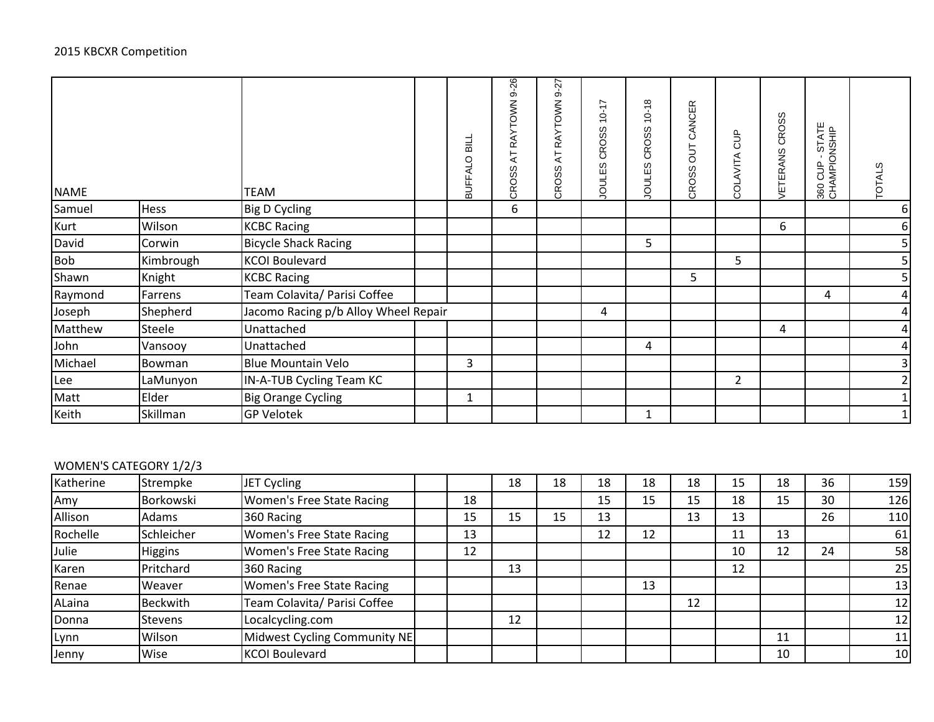| <b>NAME</b> |           | <b>TEAM</b>                          | BUFFALO BILL | RAYTOWN 9-26<br>$\overline{A}$<br>CROSS | $9 - 27$<br><b>RAYTOWN</b><br>$\overline{A}$<br>CROSS | $10 - 17$<br><b>CROSS</b><br>w<br>JOULES | $10 - 18$<br>CROSS<br>w<br><b>JOULE!</b> | CANCER<br>5 <sub>o</sub><br>CROSS | 음<br>5<br>COLAVITA | <b>CROSS</b><br><b><i>JETERANS</i></b> | 360 CUP - STATE<br>CHAMPIONSHIP | ഗ<br>TOTAL!    |
|-------------|-----------|--------------------------------------|--------------|-----------------------------------------|-------------------------------------------------------|------------------------------------------|------------------------------------------|-----------------------------------|--------------------|----------------------------------------|---------------------------------|----------------|
| Samuel      | Hess      | <b>Big D Cycling</b>                 |              | 6                                       |                                                       |                                          |                                          |                                   |                    |                                        |                                 | 6              |
| Kurt        | Wilson    | <b>KCBC Racing</b>                   |              |                                         |                                                       |                                          |                                          |                                   |                    | 6                                      |                                 | 6              |
| David       | Corwin    | <b>Bicycle Shack Racing</b>          |              |                                         |                                                       |                                          | 5                                        |                                   |                    |                                        |                                 | 5              |
| Bob         | Kimbrough | <b>KCOI Boulevard</b>                |              |                                         |                                                       |                                          |                                          |                                   | 5.                 |                                        |                                 | $\overline{5}$ |
| Shawn       | Knight    | <b>KCBC Racing</b>                   |              |                                         |                                                       |                                          |                                          | 5                                 |                    |                                        |                                 | 5 <sub>l</sub> |
| Raymond     | Farrens   | Team Colavita/ Parisi Coffee         |              |                                         |                                                       |                                          |                                          |                                   |                    |                                        | 4                               | $\overline{a}$ |
| Joseph      | Shepherd  | Jacomo Racing p/b Alloy Wheel Repair |              |                                         |                                                       | 4                                        |                                          |                                   |                    |                                        |                                 | $\overline{a}$ |
| Matthew     | Steele    | Unattached                           |              |                                         |                                                       |                                          |                                          |                                   |                    | 4                                      |                                 | $\overline{a}$ |
| John        | Vansooy   | Unattached                           |              |                                         |                                                       |                                          | 4                                        |                                   |                    |                                        |                                 | $\overline{a}$ |
| Michael     | Bowman    | <b>Blue Mountain Velo</b>            | 3            |                                         |                                                       |                                          |                                          |                                   |                    |                                        |                                 | $\overline{3}$ |
| Lee         | LaMunyon  | IN-A-TUB Cycling Team KC             |              |                                         |                                                       |                                          |                                          |                                   | $\overline{2}$     |                                        |                                 | $\overline{2}$ |
| Matt        | Elder     | <b>Big Orange Cycling</b>            | 1            |                                         |                                                       |                                          |                                          |                                   |                    |                                        |                                 |                |
| Keith       | Skillman  | <b>GP Velotek</b>                    |              |                                         |                                                       |                                          |                                          |                                   |                    |                                        |                                 |                |

# WOMEN'S CATEGORY 1/2/3

| Katherine | Strempke        | JET Cycling                      |    | 18 | 18 | 18 | 18 | 18 | 15 | 18 | 36 | 159 |
|-----------|-----------------|----------------------------------|----|----|----|----|----|----|----|----|----|-----|
| Amy       | Borkowski       | <b>Women's Free State Racing</b> | 18 |    |    | 15 | 15 | 15 | 18 | 15 | 30 | 126 |
| Allison   | Adams           | 360 Racing                       | 15 | 15 | 15 | 13 |    | 13 | 13 |    | 26 | 110 |
| Rochelle  | Schleicher      | Women's Free State Racing        | 13 |    |    | 12 | 12 |    | 11 | 13 |    | 61  |
| Julie     | Higgins         | Women's Free State Racing        | 12 |    |    |    |    |    | 10 | 12 | 24 | 58  |
| Karen     | Pritchard       | 360 Racing                       |    | 13 |    |    |    |    | 12 |    |    | 25  |
| Renae     | Weaver          | <b>Women's Free State Racing</b> |    |    |    |    | 13 |    |    |    |    | 13  |
| ALaina    | <b>Beckwith</b> | Team Colavita/ Parisi Coffee     |    |    |    |    |    | 12 |    |    |    | 12  |
| Donna     | <b>Stevens</b>  | Localcycling.com                 |    | 12 |    |    |    |    |    |    |    | 12  |
| Lynn      | Wilson          | Midwest Cycling Community NE     |    |    |    |    |    |    |    | 11 |    | 11  |
| Jenny     | Wise            | <b>KCOI Boulevard</b>            |    |    |    |    |    |    |    | 10 |    | 10  |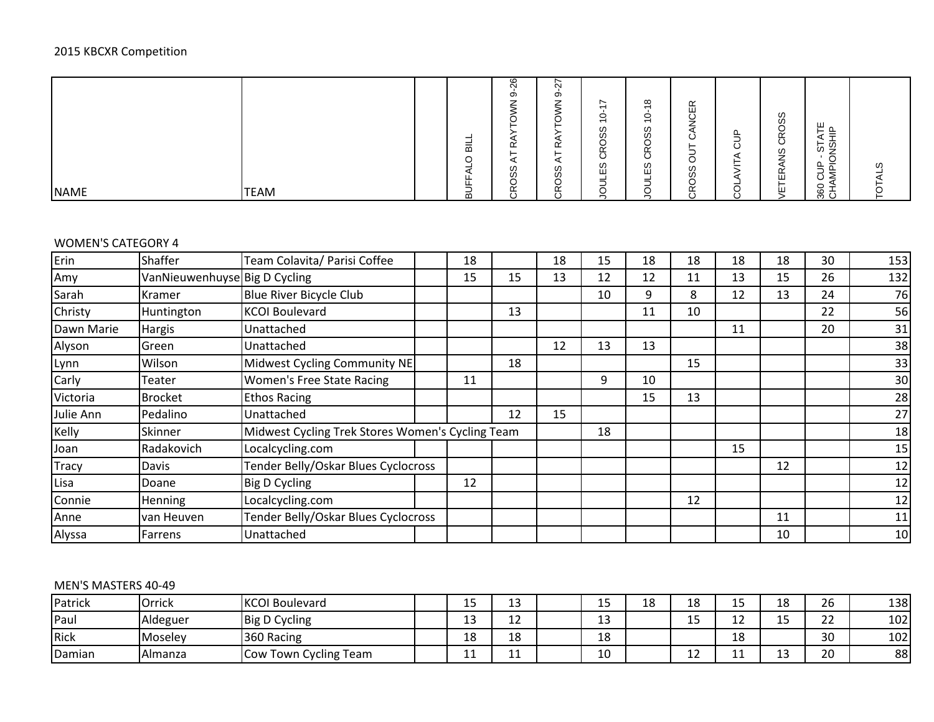# 2015 KBCXR Competition

| <b>NAME</b> | <b>TEAM</b> | -<br>ᆱ<br>$\circ$<br>╭<br>ட<br>ட<br>-<br>- | $\circ$<br>$\sim$<br>တ<br>⇁<br>$\sim$<br>ட<br>⊢<br>◢<br>w<br>Ò,<br>∽<br>ັ<br>$\tilde{\phantom{a}}$ | ∼<br>$\alpha$<br>တ<br>-<br>_<br>$\sim$<br>ட<br>⊢<br>ω<br>ഗ<br>〜<br>$\tilde{\phantom{a}}$<br>ட | $\sim$<br>$\overline{\phantom{0}}$<br>$\circ$<br>$\overline{\phantom{0}}$<br>ၯ<br>w<br>≃<br>$\sim$<br>ັ<br>w<br>ш<br>-<br>–<br>∽ | $\infty$<br>-<br>$\circ$<br>$\overline{\phantom{0}}$<br>w<br>ഗ<br>∽<br>◡<br>$\tilde{\phantom{0}}$<br>ட<br>$\overline{\phantom{a}}$<br>◡<br>ၯ<br>ш<br>-<br>-<br>-<br>$\overline{\phantom{0}}$<br>◡ | $\alpha$<br>ш<br>J<br>⇒<br><u>_</u><br>Ő<br>-<br>∽<br>U<br>ၯ<br>U.<br>◡<br>$\tilde{\phantom{a}}$ | . .<br>Ō | ഗ<br>ഗ<br>$\overline{\phantom{a}}$<br>U<br>ၯ<br>ட<br>ш<br>$\mathbf{H}$ | ш<br>ー<br>$\overline{\phantom{a}}$<br>-<br>55 S<br>∽<br>-<br>-<br>--<br>_<br>-<br>≤ ن<br>8 | ၯ |
|-------------|-------------|--------------------------------------------|----------------------------------------------------------------------------------------------------|-----------------------------------------------------------------------------------------------|----------------------------------------------------------------------------------------------------------------------------------|---------------------------------------------------------------------------------------------------------------------------------------------------------------------------------------------------|--------------------------------------------------------------------------------------------------|----------|------------------------------------------------------------------------|--------------------------------------------------------------------------------------------|---|
|             |             | മ                                          | ö                                                                                                  | $\circ$                                                                                       |                                                                                                                                  | -                                                                                                                                                                                                 | $\overline{\phantom{a}}$<br>Ō                                                                    | ⊾.       |                                                                        | က C                                                                                        |   |

### WOMEN'S CATEGORY 4

| Erin         | <b>Shaffer</b>                | Team Colavita/ Parisi Coffee                     | 18 |    | 18 | 15 | 18 | 18 | 18 | 18 | 30 | 153 |
|--------------|-------------------------------|--------------------------------------------------|----|----|----|----|----|----|----|----|----|-----|
| Amy          | VanNieuwenhuyse Big D Cycling |                                                  | 15 | 15 | 13 | 12 | 12 | 11 | 13 | 15 | 26 | 132 |
| Sarah        | Kramer                        | Blue River Bicycle Club                          |    |    |    | 10 | 9  | 8  | 12 | 13 | 24 | 76  |
| Christy      | Huntington                    | <b>KCOI Boulevard</b>                            |    | 13 |    |    | 11 | 10 |    |    | 22 | 56  |
| Dawn Marie   | <b>Hargis</b>                 | Unattached                                       |    |    |    |    |    |    | 11 |    | 20 | 31  |
| Alyson       | Green                         | Unattached                                       |    |    | 12 | 13 | 13 |    |    |    |    | 38  |
| Lynn         | Wilson                        | Midwest Cycling Community NE                     |    | 18 |    |    |    | 15 |    |    |    | 33  |
| Carly        | Teater                        | Women's Free State Racing                        | 11 |    |    | 9  | 10 |    |    |    |    | 30  |
| Victoria     | <b>Brocket</b>                | <b>Ethos Racing</b>                              |    |    |    |    | 15 | 13 |    |    |    | 28  |
| Julie Ann    | Pedalino                      | Unattached                                       |    | 12 | 15 |    |    |    |    |    |    | 27  |
| Kelly        | Skinner                       | Midwest Cycling Trek Stores Women's Cycling Team |    |    |    | 18 |    |    |    |    |    | 18  |
| Joan         | Radakovich                    | Localcycling.com                                 |    |    |    |    |    |    | 15 |    |    | 15  |
| <b>Tracy</b> | Davis                         | Tender Belly/Oskar Blues Cyclocross              |    |    |    |    |    |    |    | 12 |    | 12  |
| Lisa         | Doane                         | Big D Cycling                                    | 12 |    |    |    |    |    |    |    |    | 12  |
| Connie       | Henning                       | Localcycling.com                                 |    |    |    |    |    | 12 |    |    |    | 12  |
| Anne         | van Heuven                    | Tender Belly/Oskar Blues Cyclocross              |    |    |    |    |    |    |    | 11 |    | 11  |
| Alyssa       | Farrens                       | Unattached                                       |    |    |    |    |    |    |    | 10 |    | 10  |

### MEN'S MASTERS 40-49

| Patrick     | `rrick<br>◡     | <b>KCOI Boulevard</b>                | ∸         | $\sim$<br>ᅩ  | ᅩ            | 1 ດ<br>⌒<br>∸ | <b>10</b><br>ŦΟ               | . .<br>-- | 0 ו<br>⊥a | 26           | 138 |
|-------------|-----------------|--------------------------------------|-----------|--------------|--------------|---------------|-------------------------------|-----------|-----------|--------------|-----|
| <b>Paul</b> | <b>Aldeguer</b> | <b>Big D Cycling</b>                 | ໍາ<br>∸   | $\sim$<br>∸∸ | $\sim$<br>ᅩJ |               | $\overline{\phantom{0}}$<br>ᅩ | ∸∸        | --        | $\sim$<br>__ | 102 |
| Rick        | <b>Moselev</b>  | 360 Racing                           | 1 ດ<br>⊥໐ | 18           | 18           |               |                               | 1 O<br>TΟ |           | 30           | 102 |
| Damian      | l Almanza       | Town C<br><b>Cycling Team</b><br>Cow | --        | <b>__</b>    | 10           |               | ᆠ                             | --        | --        | 20           | 88  |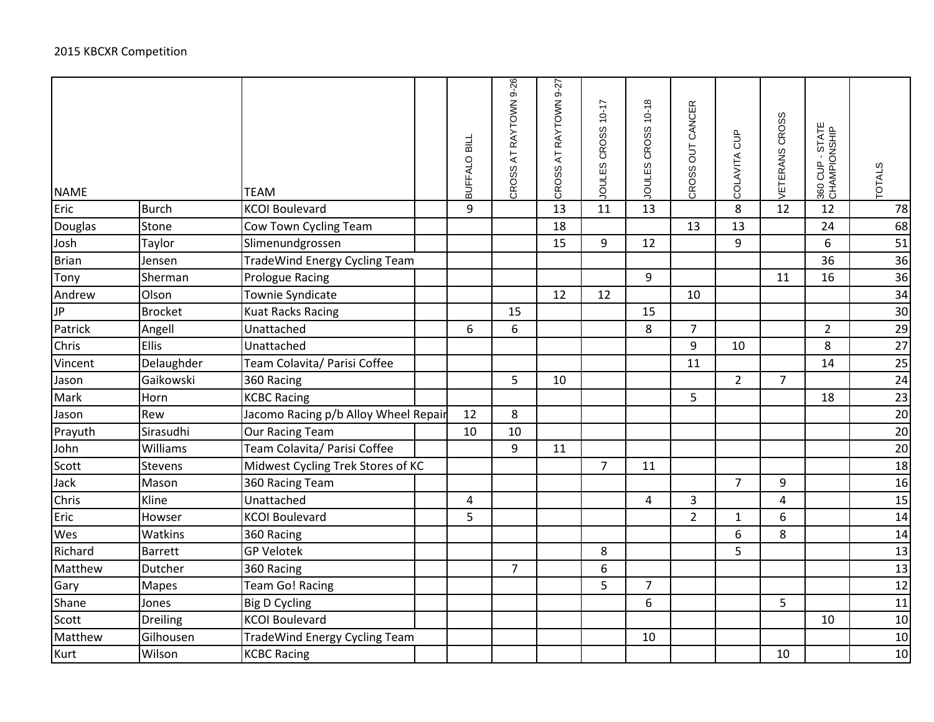| <b>NAME</b> |                 | <b>TEAM</b>                          | BUFFALO BILL | CROSS AT RAYTOWN 9-26 | CROSS AT RAYTOWN 9-27 | JOULES CROSS 10-17 | JOULES CROSS 10-18 | CROSS OUT CANCER | COLAVITA CUP   | VETERANS CROSS | 360 CUP - STATE<br>CHAMPIONSHIP | <b>TOTALS</b> |
|-------------|-----------------|--------------------------------------|--------------|-----------------------|-----------------------|--------------------|--------------------|------------------|----------------|----------------|---------------------------------|---------------|
| Eric        | <b>Burch</b>    | <b>KCOI Boulevard</b>                | 9            |                       | 13                    | 11                 | 13                 |                  | 8              | 12             | 12                              | 78            |
| Douglas     | Stone           | Cow Town Cycling Team                |              |                       | 18                    |                    |                    | 13               | 13             |                | 24                              | 68            |
| Josh        | Taylor          | Slimenundgrossen                     |              |                       | 15                    | 9                  | 12                 |                  | 9              |                | 6                               | 51            |
| Brian       | Jensen          | <b>TradeWind Energy Cycling Team</b> |              |                       |                       |                    |                    |                  |                |                | 36                              | 36            |
| Tony        | Sherman         | <b>Prologue Racing</b>               |              |                       |                       |                    | 9                  |                  |                | 11             | 16                              | 36            |
| Andrew      | Olson           | Townie Syndicate                     |              |                       | 12                    | 12                 |                    | 10               |                |                |                                 | 34            |
| <b>JP</b>   | <b>Brocket</b>  | <b>Kuat Racks Racing</b>             |              | 15                    |                       |                    | 15                 |                  |                |                |                                 | 30            |
| Patrick     | Angell          | Unattached                           | 6            | 6                     |                       |                    | 8                  | $\overline{7}$   |                |                | $\overline{2}$                  | 29            |
| Chris       | <b>Ellis</b>    | Unattached                           |              |                       |                       |                    |                    | 9                | 10             |                | 8                               | 27            |
| Vincent     | Delaughder      | Team Colavita/ Parisi Coffee         |              |                       |                       |                    |                    | 11               |                |                | 14                              | 25            |
| Jason       | Gaikowski       | 360 Racing                           |              | 5                     | 10                    |                    |                    |                  | $\overline{2}$ | $\overline{7}$ |                                 | 24            |
| Mark        | Horn            | <b>KCBC Racing</b>                   |              |                       |                       |                    |                    | 5                |                |                | 18                              | 23            |
| Jason       | Rew             | Jacomo Racing p/b Alloy Wheel Repair | 12           | 8                     |                       |                    |                    |                  |                |                |                                 | 20            |
| Prayuth     | Sirasudhi       | <b>Our Racing Team</b>               | 10           | 10                    |                       |                    |                    |                  |                |                |                                 | $20\,$        |
| John        | Williams        | Team Colavita/ Parisi Coffee         |              | 9                     | 11                    |                    |                    |                  |                |                |                                 | 20            |
| Scott       | Stevens         | Midwest Cycling Trek Stores of KC    |              |                       |                       | $\overline{7}$     | 11                 |                  |                |                |                                 | 18            |
| Jack        | Mason           | 360 Racing Team                      |              |                       |                       |                    |                    |                  | $\overline{7}$ | 9              |                                 | 16            |
| Chris       | Kline           | Unattached                           | 4            |                       |                       |                    | 4                  | 3                |                | 4              |                                 | 15            |
| Eric        | Howser          | <b>KCOI Boulevard</b>                | 5            |                       |                       |                    |                    | $\overline{2}$   | 1              | 6              |                                 | 14            |
| Wes         | Watkins         | 360 Racing                           |              |                       |                       |                    |                    |                  | 6              | 8              |                                 | 14            |
| Richard     | <b>Barrett</b>  | <b>GP Velotek</b>                    |              |                       |                       | 8                  |                    |                  | 5              |                |                                 | 13            |
| Matthew     | Dutcher         | 360 Racing                           |              | $\overline{7}$        |                       | 6                  |                    |                  |                |                |                                 | 13            |
| Gary        | <b>Mapes</b>    | <b>Team Go! Racing</b>               |              |                       |                       | 5                  | $\overline{7}$     |                  |                |                |                                 | 12            |
| Shane       | Jones           | <b>Big D Cycling</b>                 |              |                       |                       |                    | 6                  |                  |                | 5              |                                 | 11            |
| Scott       | <b>Dreiling</b> | <b>KCOI Boulevard</b>                |              |                       |                       |                    |                    |                  |                |                | 10                              | 10            |
| Matthew     | Gilhousen       | <b>TradeWind Energy Cycling Team</b> |              |                       |                       |                    | 10                 |                  |                |                |                                 | 10            |
| Kurt        | Wilson          | <b>KCBC Racing</b>                   |              |                       |                       |                    |                    |                  |                | 10             |                                 | 10            |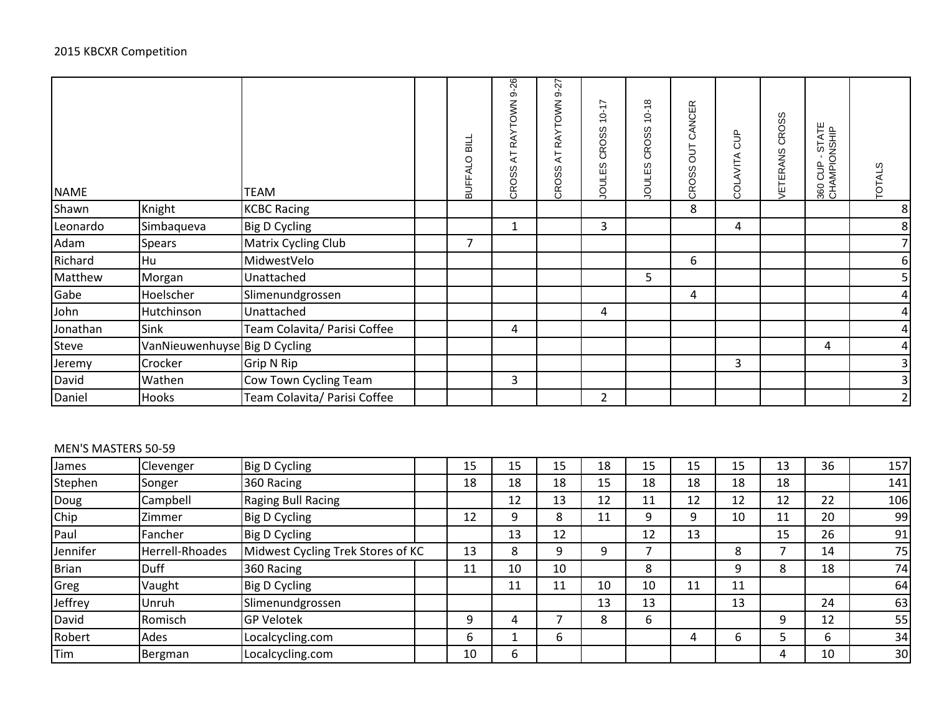| <b>NAME</b> |                               | <b>TEAM</b>                  | BUFFALO BILL   | RAYTOWN 9-26<br>$\overline{\mathsf{A}}$<br><b>CROSS</b> | RAYTOWN 9-27<br>$\overline{A}$<br>CROSS | $10 - 17$<br><b>CROSS</b><br>JOULES | $10 - 18$<br><b>CROSS</b><br>JOULES | CANCER<br>5D<br><b>CROSS</b> | <b>SO</b><br>COLAVITA | <b>CROSS</b><br><b>/ETERANS</b> | 360 CUP - STATE<br>CHAMPIONSHIP | <b>TOTALS</b>           |
|-------------|-------------------------------|------------------------------|----------------|---------------------------------------------------------|-----------------------------------------|-------------------------------------|-------------------------------------|------------------------------|-----------------------|---------------------------------|---------------------------------|-------------------------|
| Shawn       | Knight                        | <b>KCBC Racing</b>           |                |                                                         |                                         |                                     |                                     | 8                            |                       |                                 |                                 | 8                       |
| Leonardo    | Simbaqueva                    | <b>Big D Cycling</b>         |                | 1                                                       |                                         | 3                                   |                                     |                              | 4                     |                                 |                                 | $\bf 8$                 |
| Adam        | Spears                        | <b>Matrix Cycling Club</b>   | $\overline{7}$ |                                                         |                                         |                                     |                                     |                              |                       |                                 |                                 | $\overline{7}$          |
| Richard     | Hu                            | MidwestVelo                  |                |                                                         |                                         |                                     |                                     | 6                            |                       |                                 |                                 | 6                       |
| Matthew     | Morgan                        | Unattached                   |                |                                                         |                                         |                                     | 5                                   |                              |                       |                                 |                                 | 5 <sup>1</sup>          |
| Gabe        | Hoelscher                     | Slimenundgrossen             |                |                                                         |                                         |                                     |                                     | 4                            |                       |                                 |                                 | $\overline{a}$          |
| John        | Hutchinson                    | Unattached                   |                |                                                         |                                         | 4                                   |                                     |                              |                       |                                 |                                 | $\overline{4}$          |
| Jonathan    | Sink                          | Team Colavita/ Parisi Coffee |                | 4                                                       |                                         |                                     |                                     |                              |                       |                                 |                                 | $\overline{a}$          |
| Steve       | VanNieuwenhuyse Big D Cycling |                              |                |                                                         |                                         |                                     |                                     |                              |                       |                                 | 4                               | $\overline{a}$          |
| Jeremy      | Crocker                       | Grip N Rip                   |                |                                                         |                                         |                                     |                                     |                              | 3                     |                                 |                                 | 3                       |
| David       | Wathen                        | Cow Town Cycling Team        |                | 3                                                       |                                         |                                     |                                     |                              |                       |                                 |                                 | $\overline{\mathbf{3}}$ |
| Daniel      | Hooks                         | Team Colavita/ Parisi Coffee |                |                                                         |                                         | $\overline{2}$                      |                                     |                              |                       |                                 |                                 | $\overline{2}$          |

### MEN'S MASTERS 50-59

| James    | Clevenger       | Big D Cycling                     | 15 | 15 | 15 | 18 | 15 | 15 | 15 | 13 | 36 | 157 |
|----------|-----------------|-----------------------------------|----|----|----|----|----|----|----|----|----|-----|
| Stephen  | Songer          | 360 Racing                        | 18 | 18 | 18 | 15 | 18 | 18 | 18 | 18 |    | 141 |
| Doug     | Campbell        | Raging Bull Racing                |    | 12 | 13 | 12 | 11 | 12 | 12 | 12 | 22 | 106 |
| Chip     | Zimmer          | <b>Big D Cycling</b>              | 12 | 9  | 8  | 11 | 9  | 9  | 10 | 11 | 20 | 99  |
| Paul     | Fancher         | <b>Big D Cycling</b>              |    | 13 | 12 |    | 12 | 13 |    | 15 | 26 | 91  |
| Jennifer | Herrell-Rhoades | Midwest Cycling Trek Stores of KC | 13 | 8  | 9  | 9  | ⇁  |    | 8  |    | 14 | 75  |
| Brian    | Duff            | 360 Racing                        | 11 | 10 | 10 |    | 8  |    | 9  | 8  | 18 | 74  |
| Greg     | Vaught          | <b>Big D Cycling</b>              |    | 11 | 11 | 10 | 10 | 11 | 11 |    |    | 64  |
| Jeffrey  | Unruh           | Slimenundgrossen                  |    |    |    | 13 | 13 |    | 13 |    | 24 | 63  |
| David    | Romisch         | <b>GP Velotek</b>                 | 9  | 4  |    | 8  | 6  |    |    | 9  | 12 | 55  |
| Robert   | Ades            | Localcycling.com                  | 6  |    | 6  |    |    | 4  | 6  |    | 6  | 34  |
| Tim      | Bergman         | Localcycling.com                  | 10 | 6  |    |    |    |    |    | 4  | 10 | 30  |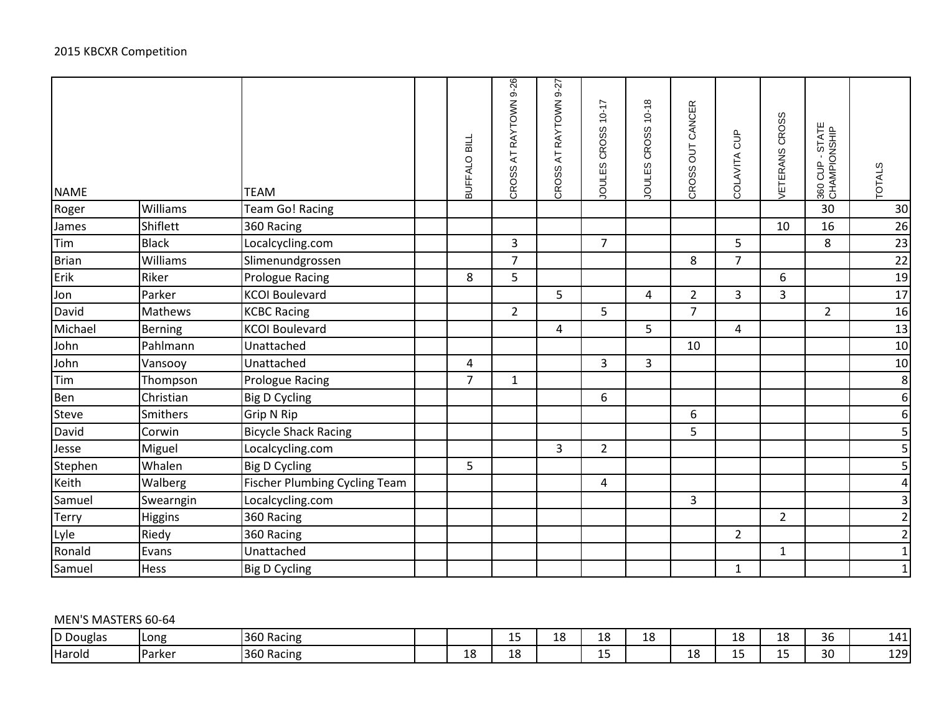| <b>NAME</b>  |                | <b>TEAM</b>                          | BUFFALO BILL            | CROSS AT RAYTOWN 9-26 | CROSS AT RAYTOWN 9-27 | JOULES CROSS 10-17 | JOULES CROSS 10-18 | CROSS OUT CANCER | COLAVITA CUP   | VETERANS CROSS | 360 CUP - STATE<br>CHAMPIONSHIP | <b>TOTALS</b>    |
|--------------|----------------|--------------------------------------|-------------------------|-----------------------|-----------------------|--------------------|--------------------|------------------|----------------|----------------|---------------------------------|------------------|
| Roger        | Williams       | Team Go! Racing                      |                         |                       |                       |                    |                    |                  |                |                | 30                              | 30               |
| James        | Shiflett       | 360 Racing                           |                         |                       |                       |                    |                    |                  |                | 10             | 16                              | 26               |
| Tim          | <b>Black</b>   | Localcycling.com                     |                         | $\overline{3}$        |                       | $\overline{7}$     |                    |                  | 5              |                | 8                               | 23               |
| Brian        | Williams       | Slimenundgrossen                     |                         | $\overline{7}$        |                       |                    |                    | 8                | $\overline{7}$ |                |                                 | 22               |
| Erik         | Riker          | <b>Prologue Racing</b>               | 8                       | 5                     |                       |                    |                    |                  |                | 6              |                                 | 19               |
| Jon          | Parker         | <b>KCOI Boulevard</b>                |                         |                       | 5                     |                    | $\overline{4}$     | $\overline{2}$   | $\overline{3}$ | 3              |                                 | 17               |
| David        | Mathews        | <b>KCBC Racing</b>                   |                         | $\overline{2}$        |                       | 5                  |                    | $\overline{7}$   |                |                | $\overline{2}$                  | 16               |
| Michael      | <b>Berning</b> | <b>KCOI Boulevard</b>                |                         |                       | 4                     |                    | 5                  |                  | 4              |                |                                 | 13               |
| John         | Pahlmann       | Unattached                           |                         |                       |                       |                    |                    | 10               |                |                |                                 | 10               |
| John         | Vansooy        | Unattached                           | $\overline{\mathbf{4}}$ |                       |                       | $\overline{3}$     | $\overline{3}$     |                  |                |                |                                 | 10               |
| Tim          | Thompson       | Prologue Racing                      | $\overline{7}$          | $\mathbf{1}$          |                       |                    |                    |                  |                |                |                                 | $\boldsymbol{8}$ |
| Ben          | Christian      | <b>Big D Cycling</b>                 |                         |                       |                       | 6                  |                    |                  |                |                |                                 | $6 \mid$         |
| <b>Steve</b> | Smithers       | Grip N Rip                           |                         |                       |                       |                    |                    | 6                |                |                |                                 | $6 \mid$         |
| David        | Corwin         | <b>Bicycle Shack Racing</b>          |                         |                       |                       |                    |                    | 5                |                |                |                                 | $\mathbf{5}$     |
| Jesse        | Miguel         | Localcycling.com                     |                         |                       | $\overline{3}$        | $\overline{2}$     |                    |                  |                |                |                                 | $\vert$          |
| Stephen      | Whalen         | <b>Big D Cycling</b>                 | 5                       |                       |                       |                    |                    |                  |                |                |                                 | $\overline{5}$   |
| Keith        | Walberg        | <b>Fischer Plumbing Cycling Team</b> |                         |                       |                       | 4                  |                    |                  |                |                |                                 | $\vert 4 \vert$  |
| Samuel       | Swearngin      | Localcycling.com                     |                         |                       |                       |                    |                    | 3                |                |                |                                 | $\overline{3}$   |
| <b>Terry</b> | <b>Higgins</b> | 360 Racing                           |                         |                       |                       |                    |                    |                  |                | $\overline{2}$ |                                 | $\mathbf{2}$     |
| Lyle         | Riedy          | 360 Racing                           |                         |                       |                       |                    |                    |                  | $\overline{2}$ |                |                                 | $\overline{2}$   |
| Ronald       | Evans          | Unattached                           |                         |                       |                       |                    |                    |                  |                | $\mathbf{1}$   |                                 | $1\overline{)}$  |
| Samuel       | <b>Hess</b>    | <b>Big D Cycling</b>                 |                         |                       |                       |                    |                    |                  | $\mathbf{1}$   |                |                                 | $1\overline{)}$  |

# MEN'S MASTERS 60-64

| D Douglas | l Long              | 360 Racing |           | - -<br>-- | 18 | 10<br>ᅩ   | $\overline{\phantom{0}}$<br>∼<br>∸∽ |    | -- | 1 C<br>ᅩ | 36 | . .<br>---  |
|-----------|---------------------|------------|-----------|-----------|----|-----------|-------------------------------------|----|----|----------|----|-------------|
| Harold    | リヘrレヘr<br>יש<br>. . | 360 Racing | 1 ດ<br>ΤQ | 10<br>ΙŌ  |    | . .<br>-- |                                     | ∸∽ | -- | --       | 30 | ומרי<br>--- |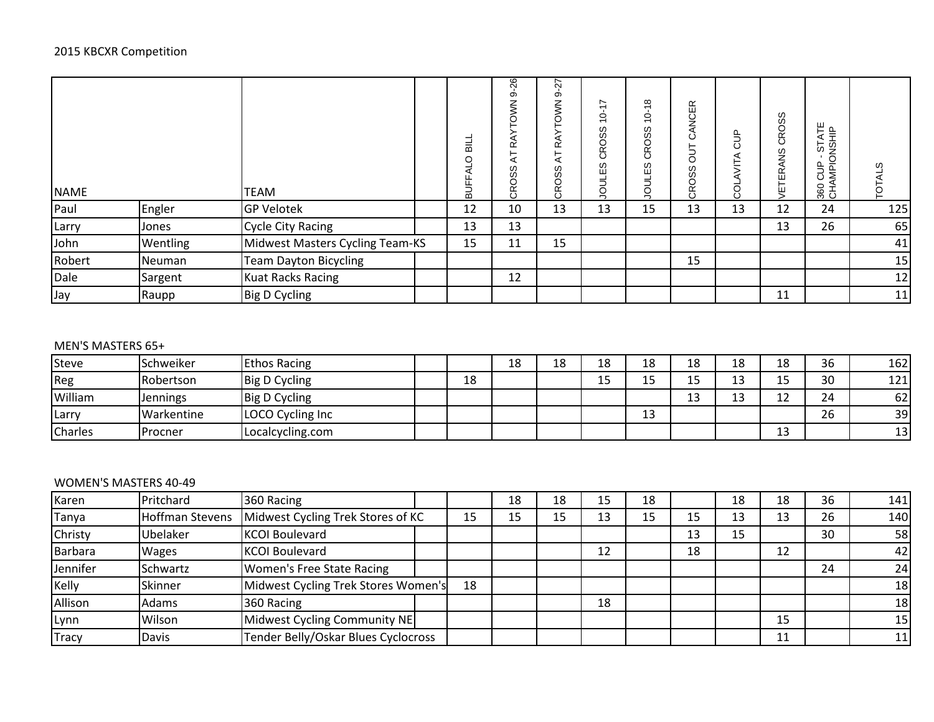| <b>NAME</b> |          | TEAM                            | $\equiv$<br>$\circ$<br>FAL<br>$rac{1}{2}$ | -26<br>တ်<br>TOWN:<br>RAY<br>국<br><b>CROSS</b> | 27<br>တ်<br><b>RAYTOWN</b><br>K<br>CROSS | $\sim$<br>$\overline{\phantom{0}}$<br>$\circ$<br>$\overline{\phantom{0}}$<br><b>CROSS</b><br>w<br>ш<br><b>UOL</b> | $\infty$<br>$\overline{\phantom{0}}$<br>$\circ$<br>$\overline{\phantom{0}}$<br><b>CROSS</b><br>w<br>ш<br>mo<br>S | ANCER<br>ن<br>5<br><b>CROSS</b> | å<br>⋖<br>ξ<br>g | CROSS<br>SS<br>Ψ | 360 CUP - STATE<br>CHAMPIONSHIP | w<br>ē |
|-------------|----------|---------------------------------|-------------------------------------------|------------------------------------------------|------------------------------------------|-------------------------------------------------------------------------------------------------------------------|------------------------------------------------------------------------------------------------------------------|---------------------------------|------------------|------------------|---------------------------------|--------|
| Paul        | Engler   | <b>GP Velotek</b>               | 12                                        | 10                                             | 13                                       | 13                                                                                                                | 15                                                                                                               | 13                              | 13               | 12               | 24                              | 125    |
| Larry       | Jones    | <b>Cycle City Racing</b>        | 13                                        | 13                                             |                                          |                                                                                                                   |                                                                                                                  |                                 |                  | 13               | 26                              | 65     |
| John        | Wentling | Midwest Masters Cycling Team-KS | 15                                        | 11                                             | 15                                       |                                                                                                                   |                                                                                                                  |                                 |                  |                  |                                 | 41     |
| Robert      | Neuman   | Team Dayton Bicycling           |                                           |                                                |                                          |                                                                                                                   |                                                                                                                  | 15                              |                  |                  |                                 | 15     |
| Dale        | Sargent  | <b>Kuat Racks Racing</b>        |                                           | 12                                             |                                          |                                                                                                                   |                                                                                                                  |                                 |                  |                  |                                 | 12     |
| Jay         | Raupp    | Big D Cycling                   |                                           |                                                |                                          |                                                                                                                   |                                                                                                                  |                                 |                  | 11               |                                 | 11     |

# MEN'S MASTERS 65+

| Steve          | Schweiker       | <b>Ethos Racing</b>  |    | 18 | 18 | 18  | 18            | 18           | 18      | 18           | 36 | 162 |
|----------------|-----------------|----------------------|----|----|----|-----|---------------|--------------|---------|--------------|----|-----|
| Reg            | Robertson       | Big D Cycling        | 18 |    |    | ب ک | $\sim$ $\sim$ | $\sim$<br>15 | 12<br>∸ | $\sim$<br>-- | 30 | 121 |
| William        | <b>Jennings</b> | <b>Big D Cycling</b> |    |    |    |     |               | 13           | $\sim$  | $\sim$<br>∸∸ | 24 | 62  |
| <b>Larry</b>   | Warkentine      | LOCO Cycling Inc     |    |    |    |     | 13            |              |         |              | 26 | 39  |
| <b>Charles</b> | Procner         | Localcycling.com     |    |    |    |     |               |              |         | 1つ<br>ᅩJ     |    | 13  |

### WOMEN'S MASTERS 40-49

| Karen    | Pritchard       | 360 Racing                          |    | 18 | 18 | 15 | 18 |    | 18 | 18 | 36 | 141 |
|----------|-----------------|-------------------------------------|----|----|----|----|----|----|----|----|----|-----|
| Tanya    | Hoffman Stevens | Midwest Cycling Trek Stores of KC   | 15 | 15 | 15 | 13 | 15 | 15 | 13 | 13 | 26 | 140 |
| Christy  | Ubelaker        | <b>KCOI Boulevard</b>               |    |    |    |    |    | 13 | 15 |    | 30 | 58  |
| Barbara  | <b>Wages</b>    | <b>KCOI Boulevard</b>               |    |    |    | 12 |    | 18 |    | 12 |    | 42  |
| Jennifer | Schwartz        | <b>Women's Free State Racing</b>    |    |    |    |    |    |    |    |    | 24 | 24  |
| Kelly    | Skinner         | Midwest Cycling Trek Stores Women's | 18 |    |    |    |    |    |    |    |    | 18  |
| Allison  | Adams           | 360 Racing                          |    |    |    | 18 |    |    |    |    |    | 18  |
| Lynn     | Wilson          | Midwest Cycling Community NE        |    |    |    |    |    |    |    | 15 |    | 15  |
| Tracy    | Davis           | Tender Belly/Oskar Blues Cyclocross |    |    |    |    |    |    |    | 11 |    | 11  |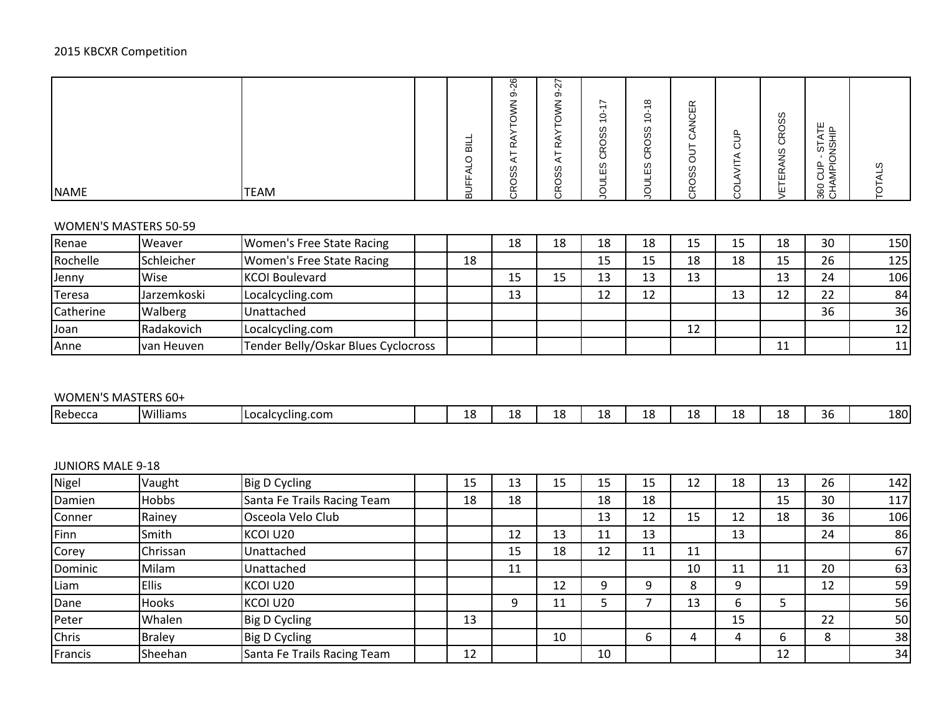### 2015 KBCXR Competition

| <b>NAME</b><br><b>TEAM</b> | -<br>$\overline{\mathbf{c}}$<br>$\circ$<br>◅<br>ட<br>ட<br>–<br>-<br>മ | $\circ$<br>$\sim$<br>တ<br>$\rightarrow$<br>∸<br>≃<br>◢<br>ၯ<br>ၯ<br>◡<br>Ğ | ∼<br>$\alpha$<br>တ<br>-<br>∸<br>◡<br>~<br>ᄔ<br>⊢<br>∽<br>$\omega$<br>ഗ<br>⌒<br>◡<br>$\tilde{\phantom{0}}$<br>ᄔ<br>$\circ$ | $\sim$<br>$\circ$<br>$\overline{\phantom{0}}$<br>$\omega$<br>ၯ<br>≃<br>ၯ<br>ш | $\infty$<br>$\circ$<br>$\overline{\phantom{0}}$<br>ഗ<br>ഗ<br>$\sqrt{2}$<br>◡<br>≃<br>$\circ$<br>ဖ<br>ш | ≃<br>ш<br>–<br>O<br>w<br>Ó<br>∝<br>$\overline{\phantom{a}}$ | ш.<br>ပ<br>∽<br>u | w<br>Ó<br>w<br>≃<br>ш<br>ш | ш<br>ட<br>_<br>◢<br>5 g<br>$\overline{\phantom{0}}$<br>щ.<br>-<br>∸<br>⋍<br>ٮ<br>용로 | w |
|----------------------------|-----------------------------------------------------------------------|----------------------------------------------------------------------------|---------------------------------------------------------------------------------------------------------------------------|-------------------------------------------------------------------------------|--------------------------------------------------------------------------------------------------------|-------------------------------------------------------------|-------------------|----------------------------|-------------------------------------------------------------------------------------|---|
|----------------------------|-----------------------------------------------------------------------|----------------------------------------------------------------------------|---------------------------------------------------------------------------------------------------------------------------|-------------------------------------------------------------------------------|--------------------------------------------------------------------------------------------------------|-------------------------------------------------------------|-------------------|----------------------------|-------------------------------------------------------------------------------------|---|

### WOMEN'S MASTERS 50-59

| Renae     | Weaver      | Women's Free State Racing           |    | 18 | 18 | 18       | 18 | 15 | 15 | 18       | 30 | <b>150l</b> |
|-----------|-------------|-------------------------------------|----|----|----|----------|----|----|----|----------|----|-------------|
| Rochelle  | Schleicher  | Women's Free State Racing           | 18 |    |    | 15       | 15 | 18 | 18 | 15       | 26 | 125         |
| Jenny     | Wise        | KCOI Boulevard                      |    | 15 | 15 | 13       | 13 | 13 |    | 13       | 24 | 106         |
| Teresa    | Jarzemkoski | Localcycling.com                    |    | 13 |    | 12<br>ᅩᄼ | 12 |    | 13 | 12<br>∸∸ | 22 | 84          |
| Catherine | Walberg     | Unattached                          |    |    |    |          |    |    |    |          | 36 | 36          |
| Joan      | Radakovich  | Localcycling.com                    |    |    |    |          |    | 12 |    |          |    | 12          |
| Anne      | Ivan Heuven | Tender Belly/Oskar Blues Cyclocross |    |    |    |          |    |    |    | 11<br>ᆠᆂ |    | 11          |

## WOMEN'S MASTERS 60+

| Williams<br>36<br>10<br>סי<br>וחפי<br>1 O<br>Localcycling.com<br>.<br><b>TOUT</b><br>ー<br>-- |         |  |  |  |  |  |  |  |
|----------------------------------------------------------------------------------------------|---------|--|--|--|--|--|--|--|
|                                                                                              | Rebecca |  |  |  |  |  |  |  |

# JUNIORS MALE 9-18

| Nigel        | Vaught        | Big D Cycling               | 15 | 13 | 15 | 15 | 15 | 12 | 18 | 13 | 26 | 142 |
|--------------|---------------|-----------------------------|----|----|----|----|----|----|----|----|----|-----|
| Damien       | <b>Hobbs</b>  | Santa Fe Trails Racing Team | 18 | 18 |    | 18 | 18 |    |    | 15 | 30 | 117 |
| Conner       | Rainey        | Osceola Velo Club           |    |    |    | 13 | 12 | 15 | 12 | 18 | 36 | 106 |
| Finn         | Smith         | KCOI U20                    |    | 12 | 13 | 11 | 13 |    | 13 |    | 24 | 86  |
| Corey        | Chrissan      | Unattached                  |    | 15 | 18 | 12 | 11 | 11 |    |    |    | 67  |
| Dominic      | Milam         | Unattached                  |    | 11 |    |    |    | 10 | 11 | 11 | 20 | 63  |
| Liam         | <b>Ellis</b>  | KCOI U20                    |    |    | 12 | 9  | 9  | 8  | 9  |    | 12 | 59  |
| Dane         | Hooks         | KCOI U20                    |    | 9  | 11 |    |    | 13 | 6  |    |    | 56  |
| Peter        | Whalen        | Big D Cycling               | 13 |    |    |    |    |    | 15 |    | 22 | 50  |
| <b>Chris</b> | <b>Braley</b> | <b>Big D Cycling</b>        |    |    | 10 |    | b  | 4  | 4  | b  | 8  | 38  |
| Francis      | Sheehan       | Santa Fe Trails Racing Team | 12 |    |    | 10 |    |    |    | 12 |    | 34  |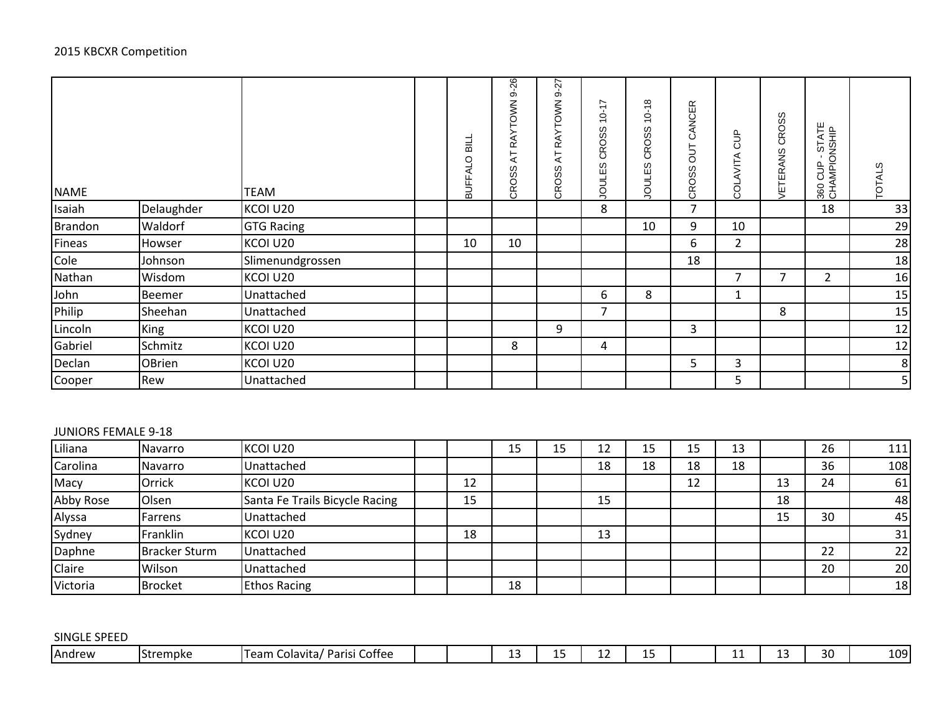| <b>NAME</b> |            | TEAM              | BUFFALO BILL | $9 - 26$<br>AT RAYTOWN<br>CROSS | Źż.<br>တ်<br><b>RAYTOWN</b><br>$\overline{A}$<br>CROSS | 47<br>Ò<br>$\overline{ }$<br>CROSS<br>S<br>JOULE! | $-18$<br>Ċ<br><b>CROSS</b><br>လ<br><b>JOULE!</b> | CANCER<br>5 <sub>0</sub><br>CROSS | <b>SO</b><br>COLAVITA | CROSS<br><b>VETERANS</b> | 360 CUP - STATE<br>CHAMPIONSHIP | <b>TOTALS</b>  |
|-------------|------------|-------------------|--------------|---------------------------------|--------------------------------------------------------|---------------------------------------------------|--------------------------------------------------|-----------------------------------|-----------------------|--------------------------|---------------------------------|----------------|
| Isaiah      | Delaughder | KCOI U20          |              |                                 |                                                        | 8                                                 |                                                  | $\overline{7}$                    |                       |                          | 18                              | 33             |
| Brandon     | Waldorf    | <b>GTG Racing</b> |              |                                 |                                                        |                                                   | 10                                               | 9                                 | 10                    |                          |                                 | 29             |
| Fineas      | Howser     | KCOI U20          | 10           | 10                              |                                                        |                                                   |                                                  | 6                                 | $\overline{2}$        |                          |                                 | 28             |
| Cole        | Johnson    | Slimenundgrossen  |              |                                 |                                                        |                                                   |                                                  | 18                                |                       |                          |                                 | 18             |
| Nathan      | Wisdom     | KCOI U20          |              |                                 |                                                        |                                                   |                                                  |                                   | 7                     | $\overline{7}$           | 2                               | 16             |
| John        | Beemer     | Unattached        |              |                                 |                                                        | 6                                                 | 8                                                |                                   | 1                     |                          |                                 | 15             |
| Philip      | Sheehan    | Unattached        |              |                                 |                                                        | 7                                                 |                                                  |                                   |                       | 8                        |                                 | 15             |
| Lincoln     | King       | KCOI U20          |              |                                 | 9                                                      |                                                   |                                                  | 3                                 |                       |                          |                                 | 12             |
| Gabriel     | Schmitz    | KCOI U20          |              | 8                               |                                                        | 4                                                 |                                                  |                                   |                       |                          |                                 | 12             |
| Declan      | OBrien     | KCOI U20          |              |                                 |                                                        |                                                   |                                                  | 5                                 | $\mathbf{3}$          |                          |                                 | 8              |
| Cooper      | Rew        | Unattached        |              |                                 |                                                        |                                                   |                                                  |                                   | 5                     |                          |                                 | 5 <sub>l</sub> |

#### JUNIORS FEMALE 9-18

| Liliana       | Navarro              | KCOI U20                       |    | 15 | 15 | 12 | 15 | 15 | 13 |    | 26 | $111$ |
|---------------|----------------------|--------------------------------|----|----|----|----|----|----|----|----|----|-------|
| Carolina      | Navarro              | Unattached                     |    |    |    | 18 | 18 | 18 | 18 |    | 36 | 108   |
| Macy          | Orrick               | KCOI U20                       | 12 |    |    |    |    | 12 |    | 13 | 24 | 61    |
| Abby Rose     | Olsen                | Santa Fe Trails Bicycle Racing | 15 |    |    | 15 |    |    |    | 18 |    | 48    |
| Alyssa        | Farrens              | Unattached                     |    |    |    |    |    |    |    | 15 | 30 | 45    |
| Sydney        | Franklin             | KCOI U20                       | 18 |    |    | 13 |    |    |    |    |    | 31    |
| Daphne        | <b>Bracker Sturm</b> | Unattached                     |    |    |    |    |    |    |    |    | 22 | 22    |
| <b>Claire</b> | Wilson               | Unattached                     |    |    |    |    |    |    |    |    | 20 | 20    |
| Victoria      | <b>Brocket</b>       | <b>Ethos Racing</b>            |    | 18 |    |    |    |    |    |    |    | 18    |

| E SPEED.<br>SINGL |                           |                                                              |  |    |    |    |    |    |    |     |
|-------------------|---------------------------|--------------------------------------------------------------|--|----|----|----|----|----|----|-----|
| Andrew            | $\sim$<br><b>Strempke</b> | <b>CC</b><br>. .<br>' Parisi<br>.Team<br>Coffee<br>Colavita/ |  | -- | -- | -- | -- | -- | 30 | 109 |